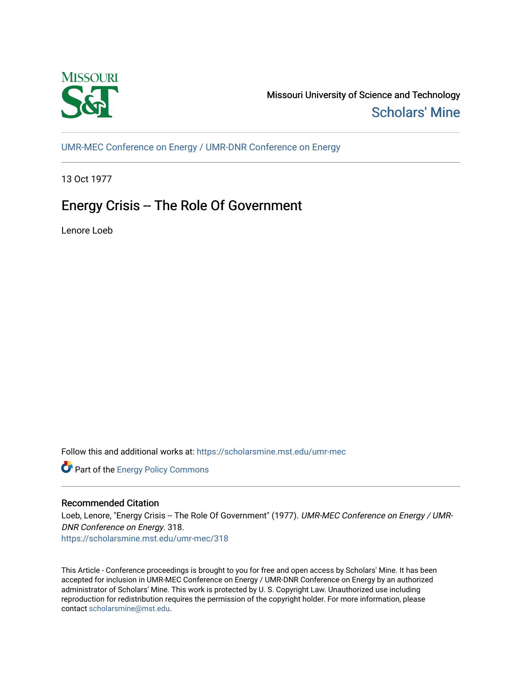

Missouri University of Science and Technology [Scholars' Mine](https://scholarsmine.mst.edu/) 

[UMR-MEC Conference on Energy / UMR-DNR Conference on Energy](https://scholarsmine.mst.edu/umr-mec)

13 Oct 1977

## Energy Crisis -- The Role Of Government

Lenore Loeb

Follow this and additional works at: [https://scholarsmine.mst.edu/umr-mec](https://scholarsmine.mst.edu/umr-mec?utm_source=scholarsmine.mst.edu%2Fumr-mec%2F318&utm_medium=PDF&utm_campaign=PDFCoverPages) 



## Recommended Citation

Loeb, Lenore, "Energy Crisis -- The Role Of Government" (1977). UMR-MEC Conference on Energy / UMR-DNR Conference on Energy. 318.

[https://scholarsmine.mst.edu/umr-mec/318](https://scholarsmine.mst.edu/umr-mec/318?utm_source=scholarsmine.mst.edu%2Fumr-mec%2F318&utm_medium=PDF&utm_campaign=PDFCoverPages) 

This Article - Conference proceedings is brought to you for free and open access by Scholars' Mine. It has been accepted for inclusion in UMR-MEC Conference on Energy / UMR-DNR Conference on Energy by an authorized administrator of Scholars' Mine. This work is protected by U. S. Copyright Law. Unauthorized use including reproduction for redistribution requires the permission of the copyright holder. For more information, please contact [scholarsmine@mst.edu](mailto:scholarsmine@mst.edu).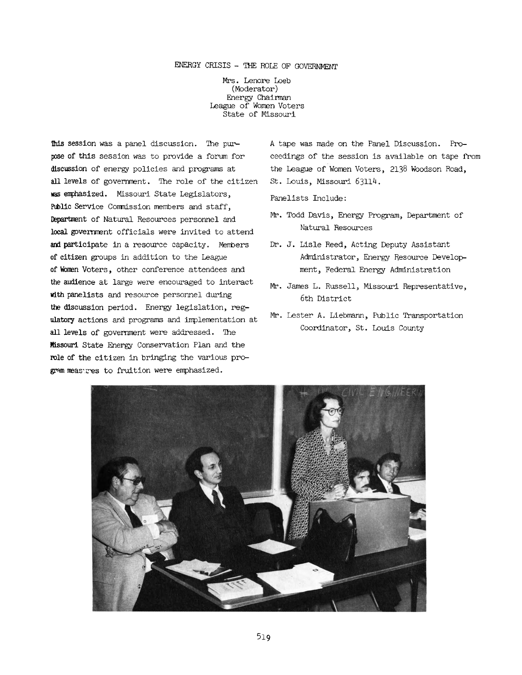## ENERGY CRISIS - THE ROLE OP GOVERNMENT

Mrs. Lenore Loeb (Moderator) Energy Chairman League of Women Voters State of Missouri

This session was a panel discussion. The purpose of this session was to provide a forum for discussion of energy policies and programs at all levels of government. The role of the citizen **was emphasized.** Missouri State Legislators, **Public** Service Conmission members and staff, **Department** of Natural Resources personnel and **local government** officials were invited to attend and participate in a resource capacity. Members of citizen groups in addition to the League **of Women** Voters, other conference attendees and **the audience** at large were encouraged to interact with panelists and resource personnel during the discussion period. Energy legislation, regulatory actions and programs and implementation at all levels of government were addressed. The **Missouri** State Energy Conservation Plan and the role of the citizen in bringing the various program measures to fruition were emphasized.

A tape was made on the Panel Discussion. Proceedings of the session is available on tape from the League of Women Voters, 2138 Woodson Road, St. Louis, Missouri 63114.

Panelists Include:

- Mr. Todd Davis, Energy Program, Department of Natural Resources
- Dr. J. Lisle Reed, Acting Deputy Assistant Administrator, Energy Resource Development, Federal Energy Administration
- Mr. James L. Russell, Missouri Representative, 6th District
- Mr. Lester A. Liebmann, Public Transportation Coordinator, St. Louis County